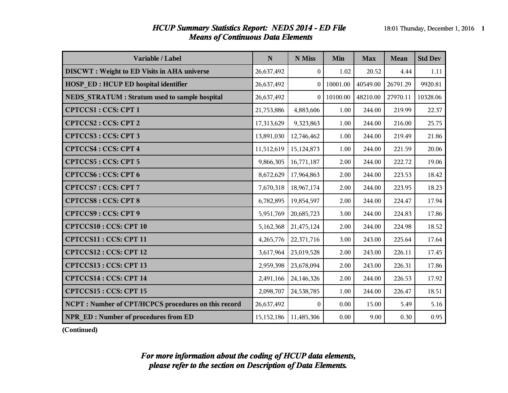### *HCUP Summary Statistics Report: NEDS 2014 - ED File* 18:01 Thursday, December 1, 2016 1 *Means of Continuous Data Elements*

| Variable / Label                                     | N                           | N Miss           | Min      | <b>Max</b> | Mean     | <b>Std Dev</b> |
|------------------------------------------------------|-----------------------------|------------------|----------|------------|----------|----------------|
| <b>DISCWT</b> : Weight to ED Visits in AHA universe  | 26,637,492                  | $\boldsymbol{0}$ | 1.02     | 20.52      | 4.44     | 1.11           |
| <b>HOSP ED: HCUP ED hospital identifier</b>          | 26,637,492                  |                  | 10001.00 | 40549.00   | 26791.29 | 9920.81        |
| <b>NEDS STRATUM: Stratum used to sample hospital</b> | 26,637,492                  |                  | 10100.00 | 48210.00   | 27970.11 | 10328.06       |
| <b>CPTCCS1: CCS: CPT 1</b>                           | 21,753,886                  | 4,883,606        | 1.00     | 244.00     | 219.99   | 22.37          |
| <b>CPTCCS2: CCS: CPT 2</b>                           | 17,313,629                  | 9,323,863        | 1.00     | 244.00     | 216.00   | 25.75          |
| <b>CPTCCS3: CCS: CPT 3</b>                           | 13,891,030                  | 12,746,462       | 1.00     | 244.00     | 219.49   | 21.86          |
| <b>CPTCCS4: CCS: CPT 4</b>                           | 11,512,619                  | 15,124,873       | 1.00     | 244.00     | 221.59   | 20.06          |
| <b>CPTCCS5: CCS: CPT 5</b>                           | 9,866,305                   | 16,771,187       | 2.00     | 244.00     | 222.72   | 19.06          |
| <b>CPTCCS6: CCS: CPT 6</b>                           | 8,672,629                   | 17,964,863       | 2.00     | 244.00     | 223.53   | 18.42          |
| <b>CPTCCS7: CCS: CPT7</b>                            | 7,670,318                   | 18,967,174       | 2.00     | 244.00     | 223.95   | 18.23          |
| <b>CPTCCS8: CCS: CPT 8</b>                           | 6,782,895                   | 19,854,597       | 2.00     | 244.00     | 224.47   | 17.94          |
| <b>CPTCCS9: CCS: CPT 9</b>                           | 5,951,769                   | 20,685,723       | 3.00     | 244.00     | 224.83   | 17.86          |
| <b>CPTCCS10: CCS: CPT 10</b>                         | 5,162,368                   | 21,475,124       | 2.00     | 244.00     | 224.98   | 18.52          |
| CPTCCS11: CCS: CPT 11                                | 4,265,776                   | 22,371,716       | 3.00     | 243.00     | 225.64   | 17.64          |
| <b>CPTCCS12: CCS: CPT 12</b>                         | 3,617,964                   | 23,019,528       | 2.00     | 243.00     | 226.11   | 17.45          |
| CPTCCS13: CCS: CPT 13                                | 2,959,398                   | 23,678,094       | 2.00     | 243.00     | 226.31   | 17.86          |
| <b>CPTCCS14: CCS: CPT 14</b>                         | 2,491,166                   | 24,146,326       | 2.00     | 244.00     | 226.53   | 17.92          |
| <b>CPTCCS15: CCS: CPT 15</b>                         | 2,098,707                   | 24,538,785       | 1.00     | 244.00     | 226.47   | 18.51          |
| NCPT: Number of CPT/HCPCS procedures on this record  | 26,637,492                  | $\Omega$         | 0.00     | 15.00      | 5.49     | 5.16           |
| <b>NPR ED: Number of procedures from ED</b>          | 15, 152, 186   11, 485, 306 |                  | 0.00     | 9.00       | 0.30     | 0.95           |

**(Continued)**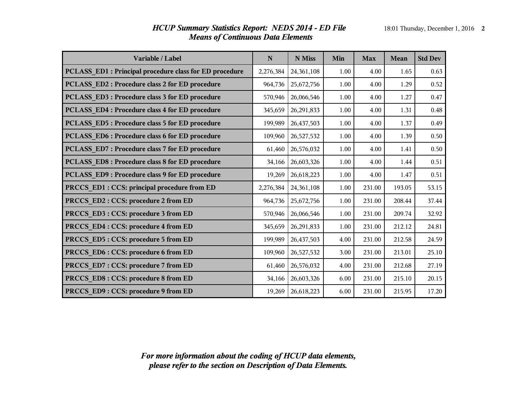| Variable / Label                                       | N         | N Miss     | Min  | <b>Max</b> | <b>Mean</b> | <b>Std Dev</b> |
|--------------------------------------------------------|-----------|------------|------|------------|-------------|----------------|
| PCLASS_ED1: Principal procedure class for ED procedure | 2,276,384 | 24,361,108 | 1.00 | 4.00       | 1.65        | 0.63           |
| <b>PCLASS_ED2: Procedure class 2 for ED procedure</b>  | 964,736   | 25,672,756 | 1.00 | 4.00       | 1.29        | 0.52           |
| PCLASS_ED3: Procedure class 3 for ED procedure         | 570,946   | 26,066,546 | 1.00 | 4.00       | 1.27        | 0.47           |
| <b>PCLASS ED4: Procedure class 4 for ED procedure</b>  | 345,659   | 26,291,833 | 1.00 | 4.00       | 1.31        | 0.48           |
| PCLASS ED5 : Procedure class 5 for ED procedure        | 199,989   | 26,437,503 | 1.00 | 4.00       | 1.37        | 0.49           |
| PCLASS ED6 : Procedure class 6 for ED procedure        | 109,960   | 26,527,532 | 1.00 | 4.00       | 1.39        | 0.50           |
| PCLASS ED7: Procedure class 7 for ED procedure         | 61,460    | 26,576,032 | 1.00 | 4.00       | 1.41        | 0.50           |
| PCLASS ED8 : Procedure class 8 for ED procedure        | 34,166    | 26,603,326 | 1.00 | 4.00       | 1.44        | 0.51           |
| PCLASS ED9: Procedure class 9 for ED procedure         | 19,269    | 26,618,223 | 1.00 | 4.00       | 1.47        | 0.51           |
| PRCCS_ED1 : CCS: principal procedure from ED           | 2,276,384 | 24,361,108 | 1.00 | 231.00     | 193.05      | 53.15          |
| PRCCS_ED2: CCS: procedure 2 from ED                    | 964,736   | 25,672,756 | 1.00 | 231.00     | 208.44      | 37.44          |
| PRCCS_ED3: CCS: procedure 3 from ED                    | 570,946   | 26,066,546 | 1.00 | 231.00     | 209.74      | 32.92          |
| PRCCS_ED4: CCS: procedure 4 from ED                    | 345,659   | 26,291,833 | 1.00 | 231.00     | 212.12      | 24.81          |
| PRCCS_ED5: CCS: procedure 5 from ED                    | 199,989   | 26,437,503 | 4.00 | 231.00     | 212.58      | 24.59          |
| PRCCS_ED6: CCS: procedure 6 from ED                    | 109,960   | 26,527,532 | 3.00 | 231.00     | 213.01      | 25.10          |
| PRCCS_ED7: CCS: procedure 7 from ED                    | 61,460    | 26,576,032 | 4.00 | 231.00     | 212.68      | 27.19          |
| PRCCS_ED8: CCS: procedure 8 from ED                    | 34,166    | 26,603,326 | 6.00 | 231.00     | 215.10      | 20.15          |
| PRCCS ED9: CCS: procedure 9 from ED                    | 19,269    | 26,618,223 | 6.00 | 231.00     | 215.95      | 17.20          |

## *HCUP Summary Statistics Report: NEDS 2014 - ED File* 18:01 Thursday, December 1, 2016 2 *Means of Continuous Data Elements*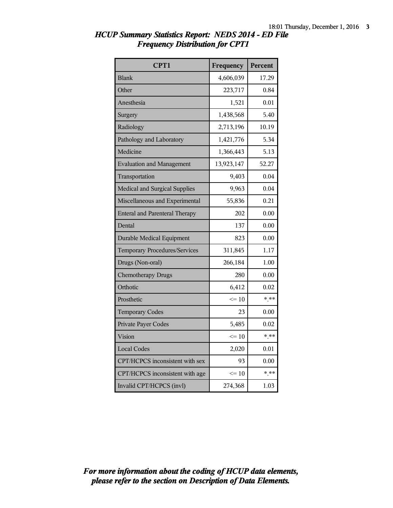| CPT1                                  | Frequency  | Percent  |
|---------------------------------------|------------|----------|
| <b>Blank</b>                          | 4,606,039  | 17.29    |
| Other                                 | 223,717    | 0.84     |
| Anesthesia                            | 1,521      | 0.01     |
| Surgery                               | 1,438,568  | 5.40     |
| Radiology                             | 2,713,196  | 10.19    |
| Pathology and Laboratory              | 1,421,776  | 5.34     |
| Medicine                              | 1,366,443  | 5.13     |
| <b>Evaluation and Management</b>      | 13,923,147 | 52.27    |
| Transportation                        | 9,403      | 0.04     |
| Medical and Surgical Supplies         | 9,963      | 0.04     |
| Miscellaneous and Experimental        | 55,836     | 0.21     |
| <b>Enteral and Parenteral Therapy</b> | 202        | 0.00     |
| Dental                                | 137        | 0.00     |
| <b>Durable Medical Equipment</b>      | 823        | 0.00     |
| Temporary Procedures/Services         | 311,845    | 1.17     |
| Drugs (Non-oral)                      | 266,184    | 1.00     |
| <b>Chemotherapy Drugs</b>             | 280        | 0.00     |
| Orthotic                              | 6,412      | 0.02     |
| Prosthetic                            | $\leq 10$  | $*$ $**$ |
| <b>Temporary Codes</b>                | 23         | 0.00     |
| Private Payer Codes                   | 5,485      | 0.02     |
| Vision                                | $\leq 10$  | $* * *$  |
| <b>Local Codes</b>                    | 2,020      | 0.01     |
| CPT/HCPCS inconsistent with sex       | 93         | 0.00     |
| CPT/HCPCS inconsistent with age       | $\leq 10$  | $*$ **   |
| Invalid CPT/HCPCS (invl)              | 274,368    | 1.03     |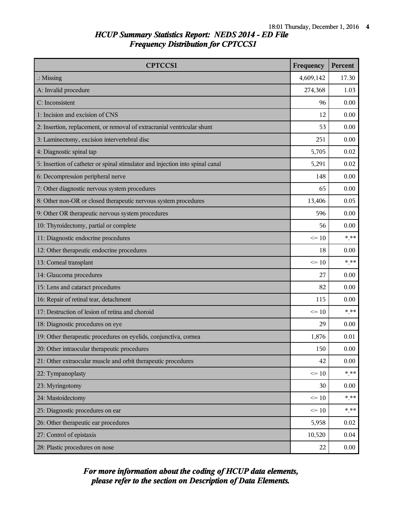| <b>CPTCCS1</b>                                                                | Frequency | Percent |
|-------------------------------------------------------------------------------|-----------|---------|
| $\therefore$ Missing                                                          | 4,609,142 | 17.30   |
| A: Invalid procedure                                                          | 274,368   | 1.03    |
| C: Inconsistent                                                               | 96        | 0.00    |
| 1: Incision and excision of CNS                                               | 12        | 0.00    |
| 2: Insertion, replacement, or removal of extracranial ventricular shunt       | 53        | 0.00    |
| 3: Laminectomy, excision intervertebral disc                                  | 251       | 0.00    |
| 4: Diagnostic spinal tap                                                      | 5,705     | 0.02    |
| 5: Insertion of catheter or spinal stimulator and injection into spinal canal | 5,291     | 0.02    |
| 6: Decompression peripheral nerve                                             | 148       | 0.00    |
| 7: Other diagnostic nervous system procedures                                 | 65        | 0.00    |
| 8: Other non-OR or closed therapeutic nervous system procedures               | 13,406    | 0.05    |
| 9: Other OR therapeutic nervous system procedures                             | 596       | 0.00    |
| 10: Thyroidectomy, partial or complete                                        | 56        | 0.00    |
| 11: Diagnostic endocrine procedures                                           | $\leq$ 10 | * **    |
| 12: Other therapeutic endocrine procedures                                    | 18        | 0.00    |
| 13: Corneal transplant                                                        | $\leq 10$ | $***$   |
| 14: Glaucoma procedures                                                       | 27        | 0.00    |
| 15: Lens and cataract procedures                                              | 82        | 0.00    |
| 16: Repair of retinal tear, detachment                                        | 115       | 0.00    |
| 17: Destruction of lesion of retina and choroid                               | $\leq$ 10 | $*$ **  |
| 18: Diagnostic procedures on eye                                              | 29        | 0.00    |
| 19: Other therapeutic procedures on eyelids, conjunctiva, cornea              | 1,876     | 0.01    |
| 20: Other intraocular therapeutic procedures                                  | 150       | 0.00    |
| 21: Other extraocular muscle and orbit therapeutic procedures                 | 42        | 0.00    |
| 22: Tympanoplasty                                                             | $\leq 10$ | $***$   |
| 23: Myringotomy                                                               | 30        | 0.00    |
| 24: Mastoidectomy                                                             | $\leq 10$ | $***$   |
| 25: Diagnostic procedures on ear                                              | $\leq 10$ | $***$   |
| 26: Other therapeutic ear procedures                                          | 5,958     | 0.02    |
| 27: Control of epistaxis                                                      | 10,520    | 0.04    |
| 28: Plastic procedures on nose                                                | 22        | 0.00    |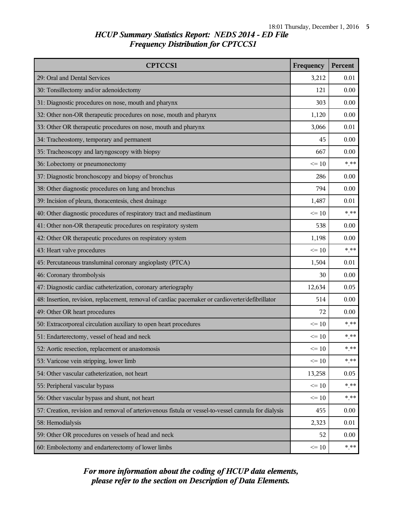| <b>CPTCCS1</b>                                                                                       | Frequency | Percent |
|------------------------------------------------------------------------------------------------------|-----------|---------|
| 29: Oral and Dental Services                                                                         | 3,212     | 0.01    |
| 30: Tonsillectomy and/or adenoidectomy                                                               | 121       | 0.00    |
| 31: Diagnostic procedures on nose, mouth and pharynx                                                 | 303       | 0.00    |
| 32: Other non-OR therapeutic procedures on nose, mouth and pharynx                                   | 1,120     | 0.00    |
| 33: Other OR therapeutic procedures on nose, mouth and pharynx                                       | 3,066     | 0.01    |
| 34: Tracheostomy, temporary and permanent                                                            | 45        | 0.00    |
| 35: Tracheoscopy and laryngoscopy with biopsy                                                        | 667       | 0.00    |
| 36: Lobectomy or pneumonectomy                                                                       | $\leq 10$ | $***$   |
| 37: Diagnostic bronchoscopy and biopsy of bronchus                                                   | 286       | 0.00    |
| 38: Other diagnostic procedures on lung and bronchus                                                 | 794       | 0.00    |
| 39: Incision of pleura, thoracentesis, chest drainage                                                | 1,487     | 0.01    |
| 40: Other diagnostic procedures of respiratory tract and mediastinum                                 | $\leq 10$ | $***$   |
| 41: Other non-OR therapeutic procedures on respiratory system                                        | 538       | 0.00    |
| 42: Other OR therapeutic procedures on respiratory system                                            | 1,198     | 0.00    |
| 43: Heart valve procedures                                                                           | $\leq$ 10 | $***$   |
| 45: Percutaneous transluminal coronary angioplasty (PTCA)                                            | 1,504     | 0.01    |
| 46: Coronary thrombolysis                                                                            | 30        | 0.00    |
| 47: Diagnostic cardiac catheterization, coronary arteriography                                       | 12,634    | 0.05    |
| 48: Insertion, revision, replacement, removal of cardiac pacemaker or cardioverter/defibrillator     | 514       | 0.00    |
| 49: Other OR heart procedures                                                                        | 72        | 0.00    |
| 50: Extracorporeal circulation auxiliary to open heart procedures                                    | $\leq$ 10 | $***$   |
| 51: Endarterectomy, vessel of head and neck                                                          | $\leq 10$ | $***$   |
| 52: Aortic resection, replacement or anastomosis                                                     | $\leq 10$ | * **    |
| 53: Varicose vein stripping, lower limb                                                              | $\leq 10$ | $* * *$ |
| 54: Other vascular catheterization, not heart                                                        | 13,258    | 0.05    |
| 55: Peripheral vascular bypass                                                                       | $\leq 10$ | $* * *$ |
| 56: Other vascular bypass and shunt, not heart                                                       | $\leq 10$ | $*$ **  |
| 57: Creation, revision and removal of arteriovenous fistula or vessel-to-vessel cannula for dialysis | 455       | 0.00    |
| 58: Hemodialysis                                                                                     | 2,323     | 0.01    |
| 59: Other OR procedures on vessels of head and neck                                                  | 52        | 0.00    |
| 60: Embolectomy and endarterectomy of lower limbs                                                    | $\leq 10$ | $* * *$ |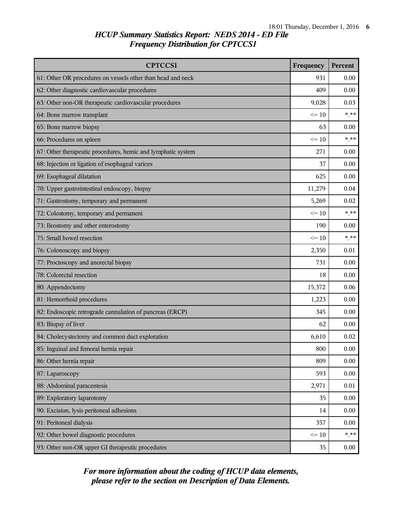| <b>CPTCCS1</b>                                               | Frequency | Percent |
|--------------------------------------------------------------|-----------|---------|
| 61: Other OR procedures on vessels other than head and neck  | 931       | 0.00    |
| 62: Other diagnostic cardiovascular procedures               | 409       | 0.00    |
| 63: Other non-OR therapeutic cardiovascular procedures       | 9,028     | 0.03    |
| 64: Bone marrow transplant                                   | $\leq 10$ | $***$   |
| 65: Bone marrow biopsy                                       | 63        | 0.00    |
| 66: Procedures on spleen                                     | $\leq 10$ | $***$   |
| 67: Other therapeutic procedures, hemic and lymphatic system | 271       | 0.00    |
| 68: Injection or ligation of esophageal varices              | 37        | 0.00    |
| 69: Esophageal dilatation                                    | 625       | 0.00    |
| 70: Upper gastrointestinal endoscopy, biopsy                 | 11,279    | 0.04    |
| 71: Gastrostomy, temporary and permanent                     | 5,269     | 0.02    |
| 72: Colostomy, temporary and permanent                       | $\leq 10$ | $***$   |
| 73: Ileostomy and other enterostomy                          | 190       | 0.00    |
| 75: Small bowel resection                                    | $\leq$ 10 | $***$   |
| 76: Colonoscopy and biopsy                                   | 2,350     | 0.01    |
| 77: Proctoscopy and anorectal biopsy                         | 731       | 0.00    |
| 78: Colorectal resection                                     | 18        | 0.00    |
| 80: Appendectomy                                             | 15,372    | 0.06    |
| 81: Hemorrhoid procedures                                    | 1,223     | 0.00    |
| 82: Endoscopic retrograde cannulation of pancreas (ERCP)     | 345       | 0.00    |
| 83: Biopsy of liver                                          | 62        | 0.00    |
| 84: Cholecystectomy and common duct exploration              | 6,610     | 0.02    |
| 85: Inguinal and femoral hernia repair                       | 800       | 0.00    |
| 86: Other hernia repair                                      | 809       | 0.00    |
| 87: Laparoscopy                                              | 593       | 0.00    |
| 88: Abdominal paracentesis                                   | 2,971     | 0.01    |
| 89: Exploratory laparotomy                                   | 35        | 0.00    |
| 90: Excision, lysis peritoneal adhesions                     | 14        | 0.00    |
| 91: Peritoneal dialysis                                      | 357       | 0.00    |
| 92: Other bowel diagnostic procedures                        | $\leq 10$ | $*$ **  |
| 93: Other non-OR upper GI therapeutic procedures             | 35        | 0.00    |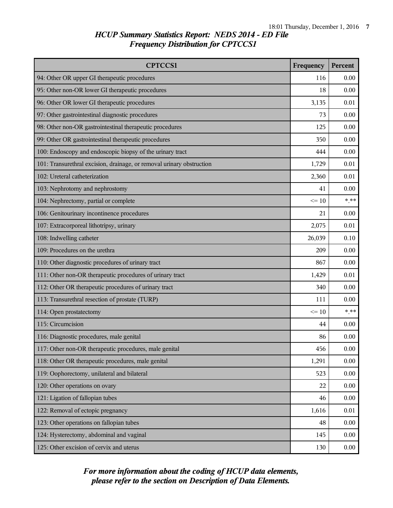| <b>CPTCCS1</b>                                                        | Frequency | Percent |
|-----------------------------------------------------------------------|-----------|---------|
| 94: Other OR upper GI therapeutic procedures                          | 116       | 0.00    |
| 95: Other non-OR lower GI therapeutic procedures                      | 18        | 0.00    |
| 96: Other OR lower GI therapeutic procedures                          | 3,135     | 0.01    |
| 97: Other gastrointestinal diagnostic procedures                      | 73        | 0.00    |
| 98: Other non-OR gastrointestinal therapeutic procedures              | 125       | 0.00    |
| 99: Other OR gastrointestinal therapeutic procedures                  | 350       | 0.00    |
| 100: Endoscopy and endoscopic biopsy of the urinary tract             | 444       | 0.00    |
| 101: Transurethral excision, drainage, or removal urinary obstruction | 1,729     | 0.01    |
| 102: Ureteral catheterization                                         | 2,360     | 0.01    |
| 103: Nephrotomy and nephrostomy                                       | 41        | 0.00    |
| 104: Nephrectomy, partial or complete                                 | $\leq 10$ | $*$ **  |
| 106: Genitourinary incontinence procedures                            | 21        | 0.00    |
| 107: Extracorporeal lithotripsy, urinary                              | 2,075     | 0.01    |
| 108: Indwelling catheter                                              | 26,039    | 0.10    |
| 109: Procedures on the urethra                                        | 209       | 0.00    |
| 110: Other diagnostic procedures of urinary tract                     | 867       | 0.00    |
| 111: Other non-OR therapeutic procedures of urinary tract             | 1,429     | 0.01    |
| 112: Other OR therapeutic procedures of urinary tract                 | 340       | 0.00    |
| 113: Transurethral resection of prostate (TURP)                       | 111       | 0.00    |
| 114: Open prostatectomy                                               | $\leq$ 10 | $*$ **  |
| 115: Circumcision                                                     | 44        | 0.00    |
| 116: Diagnostic procedures, male genital                              | 86        | 0.00    |
| 117: Other non-OR therapeutic procedures, male genital                | 456       | 0.00    |
| 118: Other OR therapeutic procedures, male genital                    | 1,291     | 0.00    |
| 119: Oophorectomy, unilateral and bilateral                           | 523       | 0.00    |
| 120: Other operations on ovary                                        | 22        | 0.00    |
| 121: Ligation of fallopian tubes                                      | 46        | 0.00    |
| 122: Removal of ectopic pregnancy                                     | 1,616     | 0.01    |
| 123: Other operations on fallopian tubes                              | 48        | 0.00    |
| 124: Hysterectomy, abdominal and vaginal                              | 145       | 0.00    |
| 125: Other excision of cervix and uterus                              | 130       | 0.00    |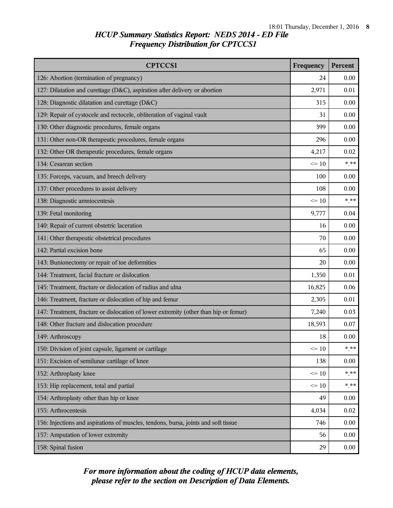| <b>CPTCCS1</b>                                                                       | Frequency | Percent |
|--------------------------------------------------------------------------------------|-----------|---------|
| 126: Abortion (termination of pregnancy)                                             | 24        | 0.00    |
| 127: Dilatation and curettage (D&C), aspiration after delivery or abortion           | 2,971     | 0.01    |
| 128: Diagnostic dilatation and curettage (D&C)                                       | 315       | 0.00    |
| 129: Repair of cystocele and rectocele, obliteration of vaginal vault                | 31        | 0.00    |
| 130: Other diagnostic procedures, female organs                                      | 399       | 0.00    |
| 131: Other non-OR therapeutic procedures, female organs                              | 296       | 0.00    |
| 132: Other OR therapeutic procedures, female organs                                  | 4,217     | 0.02    |
| 134: Cesarean section                                                                | $\leq 10$ | $***$   |
| 135: Forceps, vacuum, and breech delivery                                            | 100       | 0.00    |
| 137: Other procedures to assist delivery                                             | 108       | 0.00    |
| 138: Diagnostic amniocentesis                                                        | $\leq 10$ | $*$ **  |
| 139: Fetal monitoring                                                                | 9,777     | 0.04    |
| 140: Repair of current obstetric laceration                                          | 16        | 0.00    |
| 141: Other therapeutic obstetrical procedures                                        | 70        | 0.00    |
| 142: Partial excision bone                                                           | 65        | 0.00    |
| 143: Bunionectomy or repair of toe deformities                                       | 20        | 0.00    |
| 144: Treatment, facial fracture or dislocation                                       | 1,350     | 0.01    |
| 145: Treatment, fracture or dislocation of radius and ulna                           | 16,825    | 0.06    |
| 146: Treatment, fracture or dislocation of hip and femur                             | 2,305     | 0.01    |
| 147: Treatment, fracture or dislocation of lower extremity (other than hip or femur) | 7,240     | 0.03    |
| 148: Other fracture and dislocation procedure                                        | 18,593    | 0.07    |
| 149: Arthroscopy                                                                     | 18        | 0.00    |
| 150: Division of joint capsule, ligament or cartilage                                | $\leq 10$ | $* * *$ |
| 151: Excision of semilunar cartilage of knee                                         | 138       | 0.00    |
| 152: Arthroplasty knee                                                               | $\leq 10$ | $***$   |
| 153: Hip replacement, total and partial                                              | $\leq 10$ | * **    |
| 154: Arthroplasty other than hip or knee                                             | 49        | 0.00    |
| 155: Arthrocentesis                                                                  | 4,034     | 0.02    |
| 156: Injections and aspirations of muscles, tendons, bursa, joints and soft tissue   | 746       | 0.00    |
| 157: Amputation of lower extremity                                                   | 56        | 0.00    |
| 158: Spinal fusion                                                                   | 29        | 0.00    |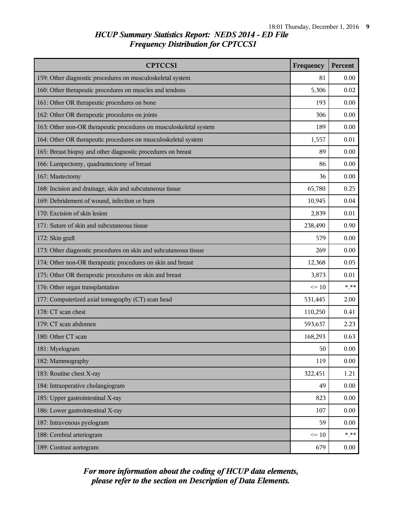| <b>CPTCCS1</b>                                                     | Frequency | Percent  |
|--------------------------------------------------------------------|-----------|----------|
| 159: Other diagnostic procedures on musculoskeletal system         | 81        | 0.00     |
| 160: Other therapeutic procedures on muscles and tendons           | 5,306     | 0.02     |
| 161: Other OR therapeutic procedures on bone                       | 193       | 0.00     |
| 162: Other OR therapeutic procedures on joints                     | 306       | 0.00     |
| 163: Other non-OR therapeutic procedures on musculoskeletal system | 189       | 0.00     |
| 164: Other OR therapeutic procedures on musculoskeletal system     | 1,557     | 0.01     |
| 165: Breast biopsy and other diagnostic procedures on breast       | 89        | 0.00     |
| 166: Lumpectomy, quadrantectomy of breast                          | 86        | 0.00     |
| 167: Mastectomy                                                    | 36        | 0.00     |
| 168: Incision and drainage, skin and subcutaneous tissue           | 65,780    | 0.25     |
| 169: Debridement of wound, infection or burn                       | 10,945    | 0.04     |
| 170: Excision of skin lesion                                       | 2,839     | 0.01     |
| 171: Suture of skin and subcutaneous tissue                        | 238,490   | 0.90     |
| 172: Skin graft                                                    | 579       | 0.00     |
| 173: Other diagnostic procedures on skin and subcutaneous tissue   | 269       | 0.00     |
| 174: Other non-OR therapeutic procedures on skin and breast        | 12,368    | 0.05     |
| 175: Other OR therapeutic procedures on skin and breast            | 3,873     | 0.01     |
| 176: Other organ transplantation                                   | $\leq 10$ | $***$    |
| 177: Computerized axial tomography (CT) scan head                  | 531,445   | 2.00     |
| 178: CT scan chest                                                 | 110,250   | 0.41     |
| 179: CT scan abdomen                                               | 593,637   | 2.23     |
| 180: Other CT scan                                                 | 168,293   | 0.63     |
| 181: Myelogram                                                     | 50        | 0.00     |
| 182: Mammography                                                   | 119       | 0.00     |
| 183: Routine chest X-ray                                           | 322,451   | 1.21     |
| 184: Intraoperative cholangiogram                                  | 49        | 0.00     |
| 185: Upper gastrointestinal X-ray                                  | 823       | 0.00     |
| 186: Lower gastrointestinal X-ray                                  | 107       | 0.00     |
| 187: Intravenous pyelogram                                         | 59        | 0.00     |
| 188: Cerebral arteriogram                                          | $\leq 10$ | $* * *$  |
| 189: Contrast aortogram                                            | 679       | $0.00\,$ |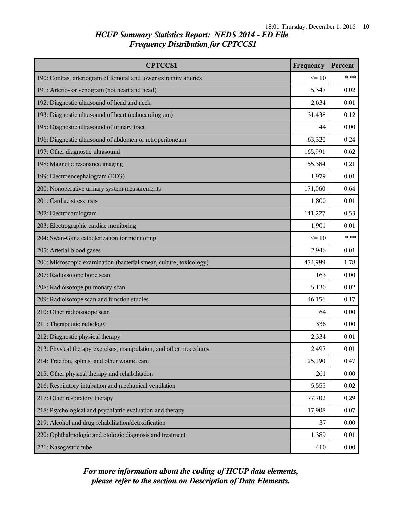| <b>CPTCCS1</b>                                                      | Frequency | Percent |
|---------------------------------------------------------------------|-----------|---------|
| 190: Contrast arteriogram of femoral and lower extremity arteries   | $\leq 10$ | $***$   |
| 191: Arterio- or venogram (not heart and head)                      | 5,347     | 0.02    |
| 192: Diagnostic ultrasound of head and neck                         | 2,634     | 0.01    |
| 193: Diagnostic ultrasound of heart (echocardiogram)                | 31,438    | 0.12    |
| 195: Diagnostic ultrasound of urinary tract                         | 44        | 0.00    |
| 196: Diagnostic ultrasound of abdomen or retroperitoneum            | 63,320    | 0.24    |
| 197: Other diagnostic ultrasound                                    | 165,991   | 0.62    |
| 198: Magnetic resonance imaging                                     | 55,384    | 0.21    |
| 199: Electroencephalogram (EEG)                                     | 1,979     | 0.01    |
| 200: Nonoperative urinary system measurements                       | 171,060   | 0.64    |
| 201: Cardiac stress tests                                           | 1,800     | 0.01    |
| 202: Electrocardiogram                                              | 141,227   | 0.53    |
| 203: Electrographic cardiac monitoring                              | 1,901     | 0.01    |
| 204: Swan-Ganz catheterization for monitoring                       | $\leq 10$ | $***$   |
| 205: Arterial blood gases                                           | 2,946     | 0.01    |
| 206: Microscopic examination (bacterial smear, culture, toxicology) | 474,989   | 1.78    |
| 207: Radioisotope bone scan                                         | 163       | 0.00    |
| 208: Radioisotope pulmonary scan                                    | 5,130     | 0.02    |
| 209: Radioisotope scan and function studies                         | 46,156    | 0.17    |
| 210: Other radioisotope scan                                        | 64        | 0.00    |
| 211: Therapeutic radiology                                          | 336       | 0.00    |
| 212: Diagnostic physical therapy                                    | 2,334     | 0.01    |
| 213: Physical therapy exercises, manipulation, and other procedures | 2,497     | 0.01    |
| 214: Traction, splints, and other wound care                        | 125,190   | 0.47    |
| 215: Other physical therapy and rehabilitation                      | 261       | 0.00    |
| 216: Respiratory intubation and mechanical ventilation              | 5,555     | 0.02    |
| 217: Other respiratory therapy                                      | 77,702    | 0.29    |
| 218: Psychological and psychiatric evaluation and therapy           | 17,908    | 0.07    |
| 219: Alcohol and drug rehabilitation/detoxification                 | 37        | 0.00    |
| 220: Ophthalmologic and otologic diagnosis and treatment            | 1,389     | 0.01    |
| 221: Nasogastric tube                                               | 410       | 0.00    |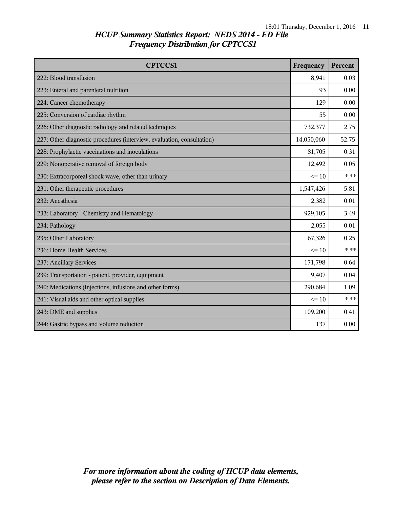| <b>CPTCCS1</b>                                                         | Frequency  | Percent |
|------------------------------------------------------------------------|------------|---------|
| 222: Blood transfusion                                                 | 8,941      | 0.03    |
| 223: Enteral and parenteral nutrition                                  | 93         | 0.00    |
| 224: Cancer chemotherapy                                               | 129        | 0.00    |
| 225: Conversion of cardiac rhythm                                      | 55         | 0.00    |
| 226: Other diagnostic radiology and related techniques                 | 732,377    | 2.75    |
| 227: Other diagnostic procedures (interview, evaluation, consultation) | 14,050,060 | 52.75   |
| 228: Prophylactic vaccinations and inoculations                        | 81,705     | 0.31    |
| 229: Nonoperative removal of foreign body                              | 12,492     | 0.05    |
| 230: Extracorporeal shock wave, other than urinary                     | $\leq 10$  | $***$   |
| 231: Other therapeutic procedures                                      | 1,547,426  | 5.81    |
| 232: Anesthesia                                                        | 2,382      | 0.01    |
| 233: Laboratory - Chemistry and Hematology                             | 929,105    | 3.49    |
| 234: Pathology                                                         | 2,055      | 0.01    |
| 235: Other Laboratory                                                  | 67,326     | 0.25    |
| 236: Home Health Services                                              | $\leq$ 10  | $***$   |
| 237: Ancillary Services                                                | 171,798    | 0.64    |
| 239: Transportation - patient, provider, equipment                     | 9,407      | 0.04    |
| 240: Medications (Injections, infusions and other forms)               | 290,684    | 1.09    |
| 241: Visual aids and other optical supplies                            | $\leq$ 10  | $***$   |
| 243: DME and supplies                                                  | 109,200    | 0.41    |
| 244: Gastric bypass and volume reduction                               | 137        | 0.00    |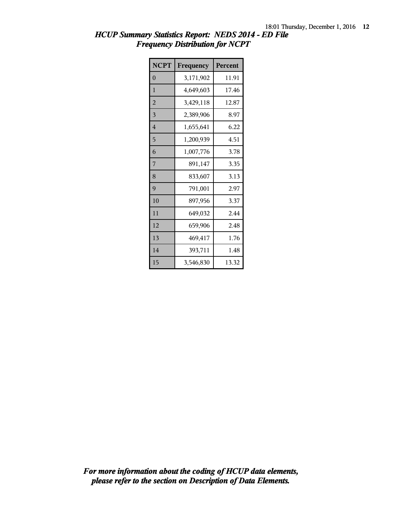| <b>NCPT</b>    | Frequency | Percent |
|----------------|-----------|---------|
| $\theta$       | 3,171,902 | 11.91   |
| $\mathbf{1}$   | 4,649,603 | 17.46   |
| $\overline{2}$ | 3,429,118 | 12.87   |
| 3              | 2,389,906 | 8.97    |
| $\overline{4}$ | 1,655,641 | 6.22    |
| 5              | 1,200,939 | 4.51    |
| 6              | 1,007,776 | 3.78    |
| 7              | 891,147   | 3.35    |
| 8              | 833,607   | 3.13    |
| 9              | 791,001   | 2.97    |
| 10             | 897,956   | 3.37    |
| 11             | 649,032   | 2.44    |
| 12             | 659,906   | 2.48    |
| 13             | 469,417   | 1.76    |
| 14             | 393,711   | 1.48    |
| 15             | 3,546,830 | 13.32   |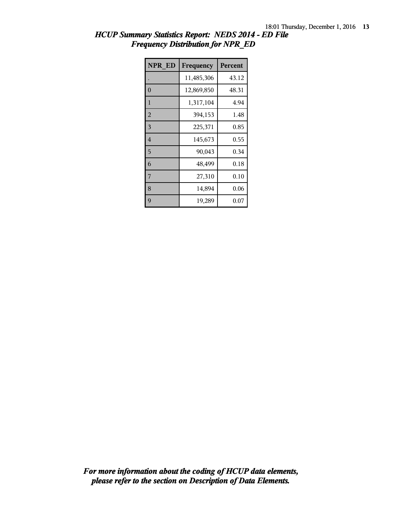| <b>NPR ED</b>  | Frequency  | <b>Percent</b> |
|----------------|------------|----------------|
|                | 11,485,306 | 43.12          |
| $\theta$       | 12,869,850 | 48.31          |
| 1              | 1,317,104  | 4.94           |
| $\overline{2}$ | 394,153    | 1.48           |
| 3              | 225,371    | 0.85           |
| $\overline{4}$ | 145,673    | 0.55           |
| 5              | 90,043     | 0.34           |
| 6              | 48,499     | 0.18           |
| 7              | 27,310     | 0.10           |
| 8              | 14,894     | 0.06           |
| 9              | 19,289     | $0.07\,$       |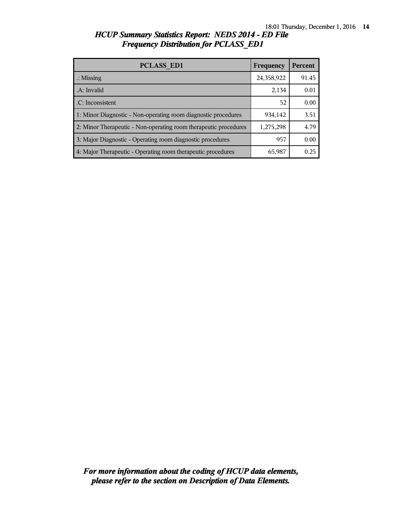| <b>PCLASS ED1</b>                                                | Frequency  | <b>Percent</b> |
|------------------------------------------------------------------|------------|----------------|
| $\therefore$ Missing                                             | 24,358,922 | 91.45          |
| .A: Invalid                                                      | 2,134      | 0.01           |
| .C: Inconsistent                                                 | 52         | 0.00           |
| 1: Minor Diagnostic - Non-operating room diagnostic procedures   | 934,142    | 3.51           |
| 2: Minor Therapeutic - Non-operating room therapeutic procedures | 1,275,298  | 4.79           |
| 3: Major Diagnostic - Operating room diagnostic procedures       | 957        | 0.00           |
| 4: Major Therapeutic - Operating room therapeutic procedures     | 65,987     | 0.25           |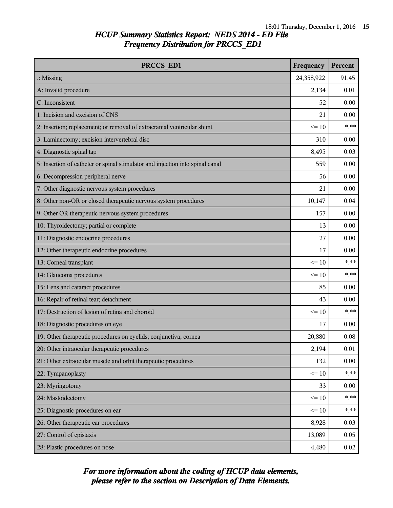| PRCCS ED1                                                                     | Frequency  | Percent  |
|-------------------------------------------------------------------------------|------------|----------|
| $\therefore$ Missing                                                          | 24,358,922 | 91.45    |
| A: Invalid procedure                                                          | 2,134      | 0.01     |
| C: Inconsistent                                                               | 52         | 0.00     |
| 1: Incision and excision of CNS                                               | 21         | 0.00     |
| 2: Insertion; replacement; or removal of extracranial ventricular shunt       | $\leq 10$  | $*$ **   |
| 3: Laminectomy; excision intervertebral disc                                  | 310        | 0.00     |
| 4: Diagnostic spinal tap                                                      | 8,495      | 0.03     |
| 5: Insertion of catheter or spinal stimulator and injection into spinal canal | 559        | 0.00     |
| 6: Decompression peripheral nerve                                             | 56         | 0.00     |
| 7: Other diagnostic nervous system procedures                                 | 21         | 0.00     |
| 8: Other non-OR or closed therapeutic nervous system procedures               | 10,147     | 0.04     |
| 9: Other OR therapeutic nervous system procedures                             | 157        | 0.00     |
| 10: Thyroidectomy; partial or complete                                        | 13         | 0.00     |
| 11: Diagnostic endocrine procedures                                           | 27         | 0.00     |
| 12: Other therapeutic endocrine procedures                                    | 17         | 0.00     |
| 13: Corneal transplant                                                        | $\leq 10$  | $***$    |
| 14: Glaucoma procedures                                                       | $\leq$ 10  | $***$    |
| 15: Lens and cataract procedures                                              | 85         | 0.00     |
| 16: Repair of retinal tear; detachment                                        | 43         | 0.00     |
| 17: Destruction of lesion of retina and choroid                               | $\leq 10$  | $*$ **   |
| 18: Diagnostic procedures on eye                                              | 17         | 0.00     |
| 19: Other therapeutic procedures on eyelids; conjunctiva; cornea              | 20,880     | 0.08     |
| 20: Other intraocular therapeutic procedures                                  | 2,194      | $0.01\,$ |
| 21: Other extraocular muscle and orbit therapeutic procedures                 | 132        | 0.00     |
| 22: Tympanoplasty                                                             | $\leq 10$  | $***$    |
| 23: Myringotomy                                                               | 33         | 0.00     |
| 24: Mastoidectomy                                                             | $\leq 10$  | $*$ **   |
| 25: Diagnostic procedures on ear                                              | $\leq 10$  | $***$    |
| 26: Other therapeutic ear procedures                                          | 8,928      | 0.03     |
| 27: Control of epistaxis                                                      | 13,089     | 0.05     |
| 28: Plastic procedures on nose                                                | 4,480      | 0.02     |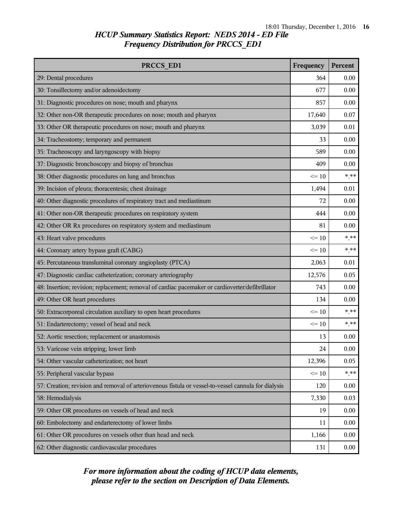| PRCCS ED1                                                                                            |           | <b>Percent</b> |
|------------------------------------------------------------------------------------------------------|-----------|----------------|
| 29: Dental procedures                                                                                | 364       | 0.00           |
| 30: Tonsillectomy and/or adenoidectomy                                                               | 677       | 0.00           |
| 31: Diagnostic procedures on nose; mouth and pharynx                                                 | 857       | 0.00           |
| 32: Other non-OR therapeutic procedures on nose; mouth and pharynx                                   | 17,640    | 0.07           |
| 33: Other OR therapeutic procedures on nose; mouth and pharynx                                       | 3,039     | 0.01           |
| 34: Tracheostomy; temporary and permanent                                                            | 33        | 0.00           |
| 35: Tracheoscopy and laryngoscopy with biopsy                                                        | 589       | 0.00           |
| 37: Diagnostic bronchoscopy and biopsy of bronchus                                                   | 409       | 0.00           |
| 38: Other diagnostic procedures on lung and bronchus                                                 | $\leq 10$ | $***$          |
| 39: Incision of pleura; thoracentesis; chest drainage                                                | 1,494     | 0.01           |
| 40: Other diagnostic procedures of respiratory tract and mediastinum                                 | 72        | 0.00           |
| 41: Other non-OR therapeutic procedures on respiratory system                                        | 444       | 0.00           |
| 42: Other OR Rx procedures on respiratory system and mediastinum                                     | 81        | 0.00           |
| 43: Heart valve procedures                                                                           | $\leq 10$ | $***$          |
| 44: Coronary artery bypass graft (CABG)                                                              | $\leq$ 10 | $***$          |
| 45: Percutaneous transluminal coronary angioplasty (PTCA)                                            | 2,063     | 0.01           |
| 47: Diagnostic cardiac catheterization; coronary arteriography                                       | 12,576    | 0.05           |
| 48: Insertion; revision; replacement; removal of cardiac pacemaker or cardioverter/defibrillator     | 743       | $0.00\,$       |
| 49: Other OR heart procedures                                                                        | 134       | 0.00           |
| 50: Extracorporeal circulation auxiliary to open heart procedures                                    | $\leq$ 10 | $***$          |
| 51: Endarterectomy; vessel of head and neck                                                          | $\leq$ 10 | $***$          |
| 52: Aortic resection; replacement or anastomosis                                                     | 13        | 0.00           |
| 53: Varicose vein stripping; lower limb                                                              | 24        | 0.00           |
| 54: Other vascular catheterization; not heart                                                        | 12,396    | 0.05           |
| 55: Peripheral vascular bypass                                                                       | $\leq 10$ | $***$          |
| 57: Creation; revision and removal of arteriovenous fistula or vessel-to-vessel cannula for dialysis | 120       | 0.00           |
| 58: Hemodialysis                                                                                     | 7,330     | 0.03           |
| 59: Other OR procedures on vessels of head and neck                                                  | 19        | 0.00           |
| 60: Embolectomy and endarterectomy of lower limbs                                                    | 11        | 0.00           |
| 61: Other OR procedures on vessels other than head and neck                                          | 1,166     | 0.00           |
| 62: Other diagnostic cardiovascular procedures                                                       | 131       | 0.00           |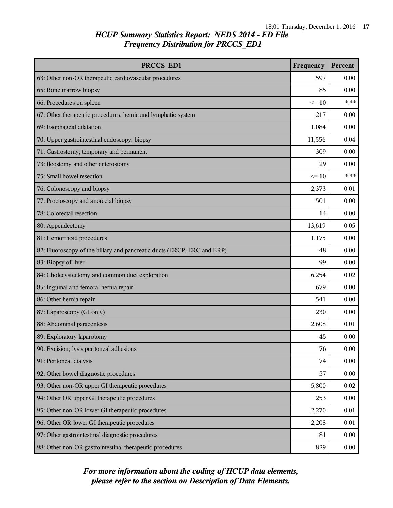| PRCCS ED1                                                               | Frequency | Percent |
|-------------------------------------------------------------------------|-----------|---------|
| 63: Other non-OR therapeutic cardiovascular procedures                  | 597       | 0.00    |
| 65: Bone marrow biopsy                                                  | 85        | 0.00    |
| 66: Procedures on spleen                                                | $\leq 10$ | $***$   |
| 67: Other therapeutic procedures; hemic and lymphatic system            | 217       | 0.00    |
| 69: Esophageal dilatation                                               | 1,084     | 0.00    |
| 70: Upper gastrointestinal endoscopy; biopsy                            | 11,556    | 0.04    |
| 71: Gastrostomy; temporary and permanent                                | 309       | 0.00    |
| 73: Ileostomy and other enterostomy                                     | 29        | 0.00    |
| 75: Small bowel resection                                               | $\leq 10$ | $***$   |
| 76: Colonoscopy and biopsy                                              | 2,373     | 0.01    |
| 77: Proctoscopy and anorectal biopsy                                    | 501       | 0.00    |
| 78: Colorectal resection                                                | 14        | 0.00    |
| 80: Appendectomy                                                        | 13,619    | 0.05    |
| 81: Hemorrhoid procedures                                               | 1,175     | 0.00    |
| 82: Fluoroscopy of the biliary and pancreatic ducts (ERCP, ERC and ERP) | 48        | 0.00    |
| 83: Biopsy of liver                                                     | 99        | 0.00    |
| 84: Cholecystectomy and common duct exploration                         | 6,254     | 0.02    |
| 85: Inguinal and femoral hernia repair                                  | 679       | 0.00    |
| 86: Other hernia repair                                                 | 541       | 0.00    |
| 87: Laparoscopy (GI only)                                               | 230       | 0.00    |
| 88: Abdominal paracentesis                                              | 2,608     | 0.01    |
| 89: Exploratory laparotomy                                              | 45        | 0.00    |
| 90: Excision; lysis peritoneal adhesions                                | 76        | 0.00    |
| 91: Peritoneal dialysis                                                 | 74        | 0.00    |
| 92: Other bowel diagnostic procedures                                   | 57        | 0.00    |
| 93: Other non-OR upper GI therapeutic procedures                        | 5,800     | 0.02    |
| 94: Other OR upper GI therapeutic procedures                            | 253       | 0.00    |
| 95: Other non-OR lower GI therapeutic procedures                        | 2,270     | 0.01    |
| 96: Other OR lower GI therapeutic procedures                            | 2,208     | 0.01    |
| 97: Other gastrointestinal diagnostic procedures                        | 81        | 0.00    |
| 98: Other non-OR gastrointestinal therapeutic procedures                | 829       | 0.00    |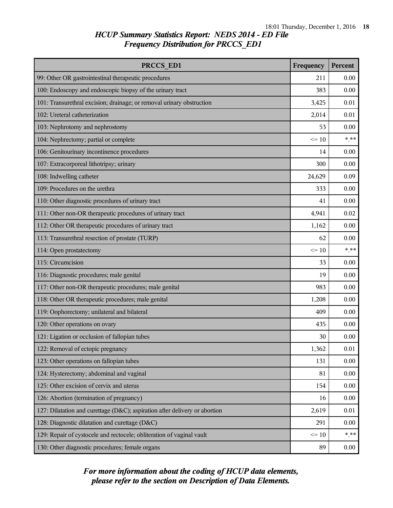| PRCCS ED1                                                                  | Frequency | Percent |
|----------------------------------------------------------------------------|-----------|---------|
| 99: Other OR gastrointestinal therapeutic procedures                       | 211       | 0.00    |
| 100: Endoscopy and endoscopic biopsy of the urinary tract                  | 383       | 0.00    |
| 101: Transurethral excision; drainage; or removal urinary obstruction      | 3,425     | 0.01    |
| 102: Ureteral catheterization                                              | 2,014     | 0.01    |
| 103: Nephrotomy and nephrostomy                                            | 53        | 0.00    |
| 104: Nephrectomy; partial or complete                                      | $\leq 10$ | $***$   |
| 106: Genitourinary incontinence procedures                                 | 14        | 0.00    |
| 107: Extracorporeal lithotripsy; urinary                                   | 300       | 0.00    |
| 108: Indwelling catheter                                                   | 24,629    | 0.09    |
| 109: Procedures on the urethra                                             | 333       | 0.00    |
| 110: Other diagnostic procedures of urinary tract                          | 41        | 0.00    |
| 111: Other non-OR therapeutic procedures of urinary tract                  | 4,941     | 0.02    |
| 112: Other OR therapeutic procedures of urinary tract                      | 1,162     | 0.00    |
| 113: Transurethral resection of prostate (TURP)                            | 62        | 0.00    |
| 114: Open prostatectomy                                                    | $\leq$ 10 | $***$   |
| 115: Circumcision                                                          | 33        | 0.00    |
| 116: Diagnostic procedures; male genital                                   | 19        | 0.00    |
| 117: Other non-OR therapeutic procedures; male genital                     | 983       | 0.00    |
| 118: Other OR therapeutic procedures; male genital                         | 1,208     | 0.00    |
| 119: Oophorectomy; unilateral and bilateral                                | 409       | 0.00    |
| 120: Other operations on ovary                                             | 435       | 0.00    |
| 121: Ligation or occlusion of fallopian tubes                              | 30        | 0.00    |
| 122: Removal of ectopic pregnancy                                          | 1,362     | 0.01    |
| 123: Other operations on fallopian tubes                                   | 131       | 0.00    |
| 124: Hysterectomy; abdominal and vaginal                                   | 81        | 0.00    |
| 125: Other excision of cervix and uterus                                   | 154       | 0.00    |
| 126: Abortion (termination of pregnancy)                                   | 16        | 0.00    |
| 127: Dilatation and curettage (D&C); aspiration after delivery or abortion | 2,619     | 0.01    |
| 128: Diagnostic dilatation and curettage (D&C)                             | 291       | 0.00    |
| 129: Repair of cystocele and rectocele; obliteration of vaginal vault      | $\leq 10$ | $***$   |
| 130: Other diagnostic procedures; female organs                            | 89        | 0.00    |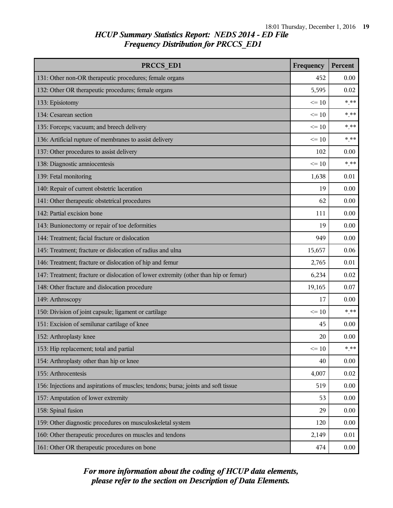| PRCCS ED1                                                                            | Frequency | Percent |
|--------------------------------------------------------------------------------------|-----------|---------|
| 131: Other non-OR therapeutic procedures; female organs                              | 452       | 0.00    |
| 132: Other OR therapeutic procedures; female organs                                  | 5,595     | 0.02    |
| 133: Episiotomy                                                                      | $\leq 10$ | $***$   |
| 134: Cesarean section                                                                | $\leq$ 10 | $*$ **  |
| 135: Forceps; vacuum; and breech delivery                                            | $\leq 10$ | $***$   |
| 136: Artificial rupture of membranes to assist delivery                              | $\leq$ 10 | $* * *$ |
| 137: Other procedures to assist delivery                                             | 102       | 0.00    |
| 138: Diagnostic amniocentesis                                                        | $\leq 10$ | $***$   |
| 139: Fetal monitoring                                                                | 1,638     | 0.01    |
| 140: Repair of current obstetric laceration                                          | 19        | 0.00    |
| 141: Other therapeutic obstetrical procedures                                        | 62        | 0.00    |
| 142: Partial excision bone                                                           | 111       | 0.00    |
| 143: Bunionectomy or repair of toe deformities                                       | 19        | 0.00    |
| 144: Treatment; facial fracture or dislocation                                       | 949       | 0.00    |
| 145: Treatment; fracture or dislocation of radius and ulna                           | 15,657    | 0.06    |
| 146: Treatment; fracture or dislocation of hip and femur                             | 2,765     | 0.01    |
| 147: Treatment; fracture or dislocation of lower extremity (other than hip or femur) | 6,234     | 0.02    |
| 148: Other fracture and dislocation procedure                                        | 19,165    | 0.07    |
| 149: Arthroscopy                                                                     | 17        | 0.00    |
| 150: Division of joint capsule; ligament or cartilage                                | $\leq 10$ | $***$   |
| 151: Excision of semilunar cartilage of knee                                         | 45        | 0.00    |
| 152: Arthroplasty knee                                                               | 20        | 0.00    |
| 153: Hip replacement; total and partial                                              | $\leq 10$ | $***$   |
| 154: Arthroplasty other than hip or knee                                             | 40        | 0.00    |
| 155: Arthrocentesis                                                                  | 4,007     | 0.02    |
| 156: Injections and aspirations of muscles; tendons; bursa; joints and soft tissue   | 519       | 0.00    |
| 157: Amputation of lower extremity                                                   | 53        | 0.00    |
| 158: Spinal fusion                                                                   | 29        | 0.00    |
| 159: Other diagnostic procedures on musculoskeletal system                           | 120       | 0.00    |
| 160: Other therapeutic procedures on muscles and tendons                             | 2,149     | 0.01    |
| 161: Other OR therapeutic procedures on bone                                         | 474       | 0.00    |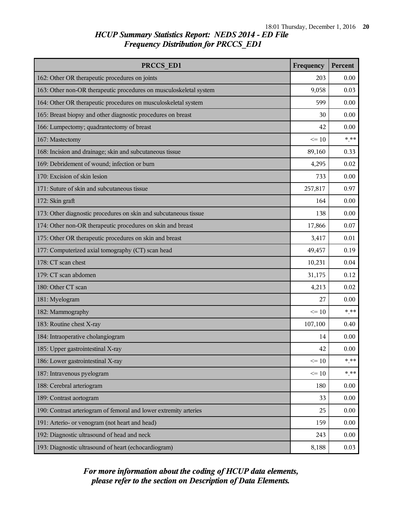| PRCCS ED1                                                          | Frequency | <b>Percent</b> |
|--------------------------------------------------------------------|-----------|----------------|
| 162: Other OR therapeutic procedures on joints                     | 203       | 0.00           |
| 163: Other non-OR therapeutic procedures on musculoskeletal system | 9,058     | 0.03           |
| 164: Other OR therapeutic procedures on musculoskeletal system     | 599       | 0.00           |
| 165: Breast biopsy and other diagnostic procedures on breast       | 30        | 0.00           |
| 166: Lumpectomy; quadrantectomy of breast                          | 42        | 0.00           |
| 167: Mastectomy                                                    | $\leq 10$ | $* * *$        |
| 168: Incision and drainage; skin and subcutaneous tissue           | 89,160    | 0.33           |
| 169: Debridement of wound; infection or burn                       | 4,295     | 0.02           |
| 170: Excision of skin lesion                                       | 733       | 0.00           |
| 171: Suture of skin and subcutaneous tissue                        | 257,817   | 0.97           |
| 172: Skin graft                                                    | 164       | 0.00           |
| 173: Other diagnostic procedures on skin and subcutaneous tissue   | 138       | 0.00           |
| 174: Other non-OR therapeutic procedures on skin and breast        | 17,866    | 0.07           |
| 175: Other OR therapeutic procedures on skin and breast            | 3,417     | 0.01           |
| 177: Computerized axial tomography (CT) scan head                  | 49,457    | 0.19           |
| 178: CT scan chest                                                 | 10,231    | 0.04           |
| 179: CT scan abdomen                                               | 31,175    | 0.12           |
| 180: Other CT scan                                                 | 4,213     | 0.02           |
| 181: Myelogram                                                     | 27        | 0.00           |
| 182: Mammography                                                   | $\leq 10$ | $*$ **         |
| 183: Routine chest X-ray                                           | 107,100   | 0.40           |
| 184: Intraoperative cholangiogram                                  | 14        | 0.00           |
| 185: Upper gastrointestinal X-ray                                  | 42        | 0.00           |
| 186: Lower gastrointestinal X-ray                                  | $\leq 10$ | * **           |
| 187: Intravenous pyelogram                                         | $\leq 10$ | $***$          |
| 188: Cerebral arteriogram                                          | 180       | 0.00           |
| 189: Contrast aortogram                                            | 33        | 0.00           |
| 190: Contrast arteriogram of femoral and lower extremity arteries  | 25        | 0.00           |
| 191: Arterio- or venogram (not heart and head)                     | 159       | 0.00           |
| 192: Diagnostic ultrasound of head and neck                        | 243       | 0.00           |
| 193: Diagnostic ultrasound of heart (echocardiogram)               | 8,188     | 0.03           |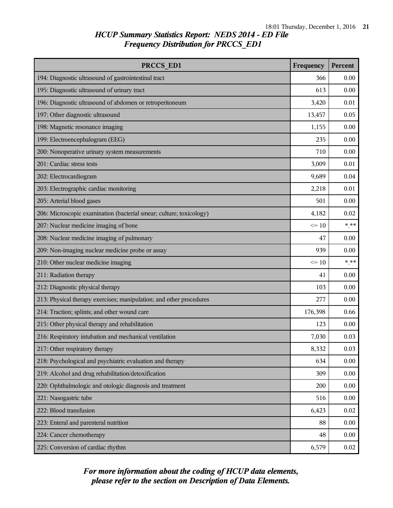| PRCCS ED1                                                           | Frequency | Percent  |
|---------------------------------------------------------------------|-----------|----------|
| 194: Diagnostic ultrasound of gastrointestinal tract                | 366       | 0.00     |
| 195: Diagnostic ultrasound of urinary tract                         | 613       | 0.00     |
| 196: Diagnostic ultrasound of abdomen or retroperitoneum            | 3,420     | 0.01     |
| 197: Other diagnostic ultrasound                                    | 13,457    | 0.05     |
| 198: Magnetic resonance imaging                                     | 1,155     | 0.00     |
| 199: Electroencephalogram (EEG)                                     | 235       | 0.00     |
| 200: Nonoperative urinary system measurements                       | 710       | 0.00     |
| 201: Cardiac stress tests                                           | 3,009     | 0.01     |
| 202: Electrocardiogram                                              | 9,689     | 0.04     |
| 203: Electrographic cardiac monitoring                              | 2,218     | 0.01     |
| 205: Arterial blood gases                                           | 501       | 0.00     |
| 206: Microscopic examination (bacterial smear; culture; toxicology) | 4,182     | 0.02     |
| 207: Nuclear medicine imaging of bone                               | $\leq 10$ | $***$    |
| 208: Nuclear medicine imaging of pulmonary                          | 47        | 0.00     |
| 209: Non-imaging nuclear medicine probe or assay                    | 939       | 0.00     |
| 210: Other nuclear medicine imaging                                 | $\leq 10$ | $***$    |
| 211: Radiation therapy                                              | 41        | 0.00     |
| 212: Diagnostic physical therapy                                    | 103       | 0.00     |
| 213: Physical therapy exercises; manipulation; and other procedures | 277       | 0.00     |
| 214: Traction; splints; and other wound care                        | 176,398   | 0.66     |
| 215: Other physical therapy and rehabilitation                      | 123       | 0.00     |
| 216: Respiratory intubation and mechanical ventilation              | 7,030     | 0.03     |
| 217: Other respiratory therapy                                      | 8,332     | 0.03     |
| 218: Psychological and psychiatric evaluation and therapy           | 634       | $0.00\,$ |
| 219: Alcohol and drug rehabilitation/detoxification                 | 309       | 0.00     |
| 220: Ophthalmologic and otologic diagnosis and treatment            | 200       | 0.00     |
| 221: Nasogastric tube                                               | 516       | 0.00     |
| 222: Blood transfusion                                              | 6,423     | 0.02     |
| 223: Enteral and parenteral nutrition                               | 88        | 0.00     |
| 224: Cancer chemotherapy                                            | 48        | 0.00     |
| 225: Conversion of cardiac rhythm                                   | 6,579     | 0.02     |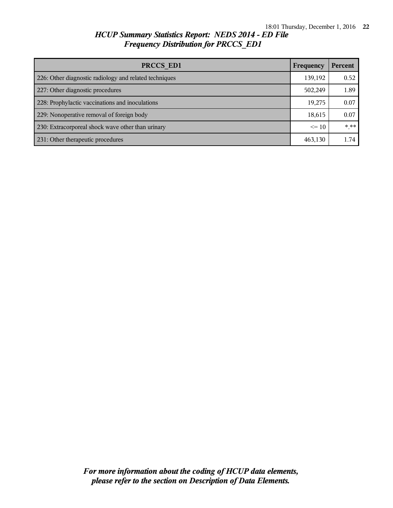| PRCCS ED1<br>Frequency                                 |         | Percent |
|--------------------------------------------------------|---------|---------|
| 226: Other diagnostic radiology and related techniques | 139,192 | 0.52    |
| 227: Other diagnostic procedures                       | 502,249 | 1.89    |
| 228: Prophylactic vaccinations and inoculations        | 19,275  | 0.07    |
| 229: Nonoperative removal of foreign body              | 18,615  | 0.07    |
| 230: Extracorporeal shock wave other than urinary      |         | $***$   |
| 231: Other therapeutic procedures                      | 463,130 | 1.74    |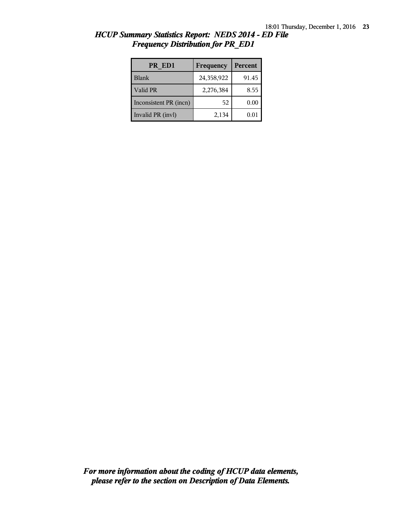| PR ED1                 | Frequency  | <b>Percent</b> |
|------------------------|------------|----------------|
| <b>Blank</b>           | 24,358,922 | 91.45          |
| Valid PR               | 2,276,384  | 8.55           |
| Inconsistent PR (incn) | 52         | 0.00           |
| Invalid PR (invl)      | 2,134      | 0.01           |

*HCUP Summary Statistics Report: NEDS 2014 - ED File Frequency Distribution for PR\_ED1*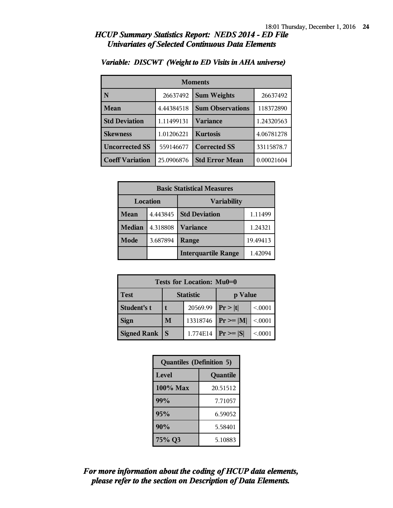### *HCUP Summary Statistics Report: NEDS 2014 - ED File Univariates of Selected Continuous Data Elements*

| <b>Moments</b>         |            |                         |            |  |
|------------------------|------------|-------------------------|------------|--|
| N                      | 26637492   | <b>Sum Weights</b>      | 26637492   |  |
| Mean                   | 4.44384518 | <b>Sum Observations</b> | 118372890  |  |
| <b>Std Deviation</b>   | 1.11499131 | <b>Variance</b>         | 1.24320563 |  |
| <b>Skewness</b>        | 1.01206221 | <b>Kurtosis</b>         | 4.06781278 |  |
| <b>Uncorrected SS</b>  | 559146677  | <b>Corrected SS</b>     | 33115878.7 |  |
| <b>Coeff Variation</b> | 25.0906876 | <b>Std Error Mean</b>   | 0.00021604 |  |

#### *Variable: DISCWT (Weight to ED Visits in AHA universe)*

| <b>Basic Statistical Measures</b> |          |                            |          |  |  |  |
|-----------------------------------|----------|----------------------------|----------|--|--|--|
| <b>Location</b>                   |          | <b>Variability</b>         |          |  |  |  |
| Mean                              | 4.443845 | <b>Std Deviation</b>       | 1.11499  |  |  |  |
| <b>Median</b>                     | 4.318808 | <b>Variance</b>            | 1.24321  |  |  |  |
| Mode                              | 3.687894 | Range                      | 19.49413 |  |  |  |
|                                   |          | <b>Interquartile Range</b> | 1.42094  |  |  |  |

| <b>Tests for Location: Mu0=0</b> |                  |          |                |        |  |  |  |
|----------------------------------|------------------|----------|----------------|--------|--|--|--|
| <b>Test</b>                      | <b>Statistic</b> |          | p Value        |        |  |  |  |
| Student's t                      |                  | 20569.99 | Pr >  t        | < 0001 |  |  |  |
| <b>Sign</b>                      | M                | 13318746 | $P_r \geq  M $ | < 0001 |  |  |  |
| <b>Signed Rank</b>               |                  | 1.774E14 | $Pr \geq  S $  | < 0001 |  |  |  |

| <b>Quantiles (Definition 5)</b> |          |  |  |  |
|---------------------------------|----------|--|--|--|
| Level                           | Quantile |  |  |  |
| $100\%$ Max                     | 20.51512 |  |  |  |
| 99%                             | 7.71057  |  |  |  |
| 95%                             | 6.59052  |  |  |  |
| 90%                             | 5.58401  |  |  |  |
| 75% Q3                          | 5.10883  |  |  |  |